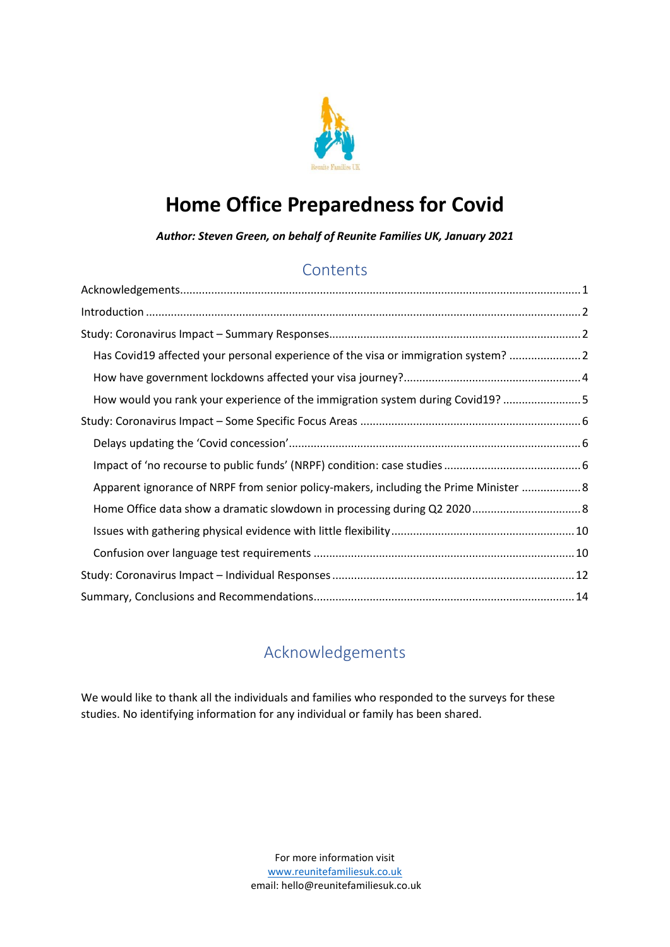

# **Home Office Preparedness for Covid**

*Author: Steven Green, on behalf of Reunite Families UK, January 2021*

# **Contents**

| Has Covid19 affected your personal experience of the visa or immigration system? 2    |  |
|---------------------------------------------------------------------------------------|--|
|                                                                                       |  |
| How would you rank your experience of the immigration system during Covid19? 5        |  |
|                                                                                       |  |
|                                                                                       |  |
|                                                                                       |  |
| Apparent ignorance of NRPF from senior policy-makers, including the Prime Minister  8 |  |
|                                                                                       |  |
|                                                                                       |  |
|                                                                                       |  |
|                                                                                       |  |
|                                                                                       |  |

# Acknowledgements

<span id="page-0-0"></span>We would like to thank all the individuals and families who responded to the surveys for these studies. No identifying information for any individual or family has been shared.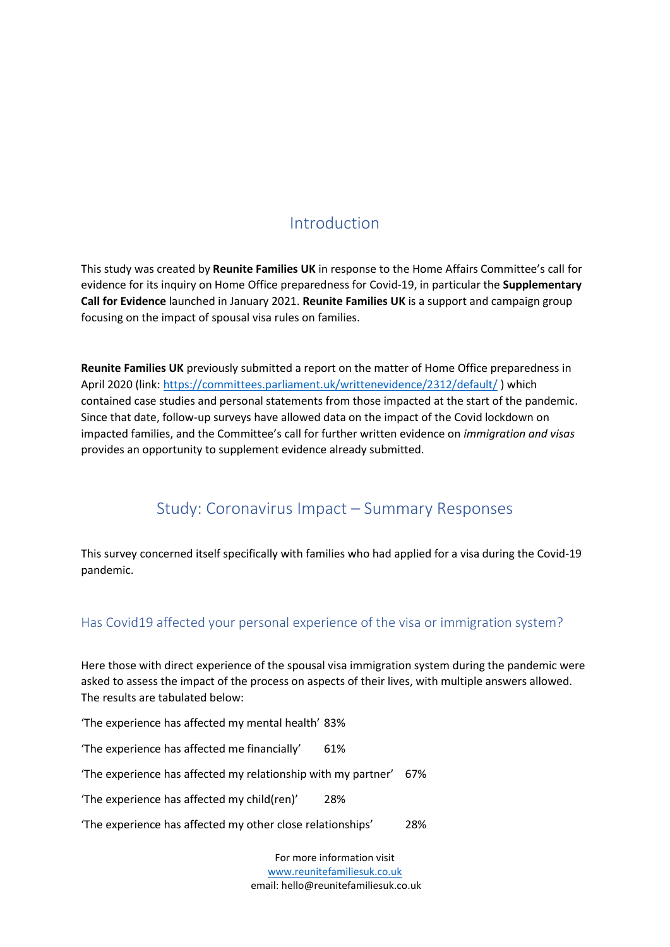# Introduction

<span id="page-1-0"></span>This study was created by **Reunite Families UK** in response to the Home Affairs Committee's call for evidence for its inquiry on Home Office preparedness for Covid-19, in particular the **Supplementary Call for Evidence** launched in January 2021. **Reunite Families UK** is a support and campaign group focusing on the impact of spousal visa rules on families.

**Reunite Families UK** previously submitted a report on the matter of Home Office preparedness in April 2020 (link:<https://committees.parliament.uk/writtenevidence/2312/default/>) which contained case studies and personal statements from those impacted at the start of the pandemic. Since that date, follow-up surveys have allowed data on the impact of the Covid lockdown on impacted families, and the Committee's call for further written evidence on *immigration and visas* provides an opportunity to supplement evidence already submitted.

# Study: Coronavirus Impact – Summary Responses

<span id="page-1-1"></span>This survey concerned itself specifically with families who had applied for a visa during the Covid-19 pandemic.

### <span id="page-1-2"></span>Has Covid19 affected your personal experience of the visa or immigration system?

Here those with direct experience of the spousal visa immigration system during the pandemic were asked to assess the impact of the process on aspects of their lives, with multiple answers allowed. The results are tabulated below:

'The experience has affected my mental health' 83%

'The experience has affected me financially' 61%

'The experience has affected my relationship with my partner' 67%

'The experience has affected my child(ren)' 28%

'The experience has affected my other close relationships' 28%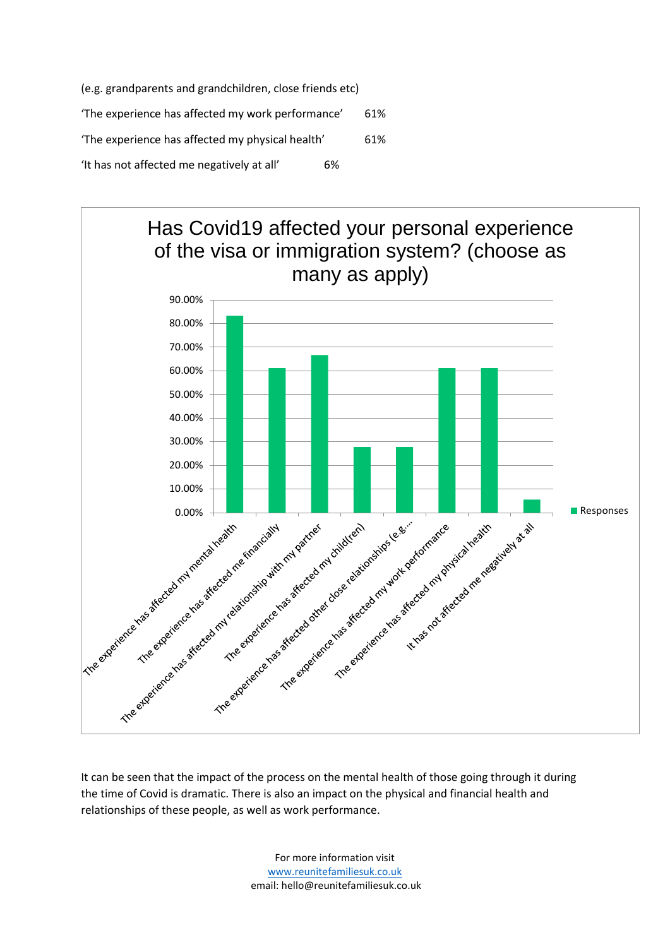(e.g. grandparents and grandchildren, close friends etc) 'The experience has affected my work performance' 61% 'The experience has affected my physical health' 61% 'It has not affected me negatively at all' 6%



It can be seen that the impact of the process on the mental health of those going through it during the time of Covid is dramatic. There is also an impact on the physical and financial health and relationships of these people, as well as work performance.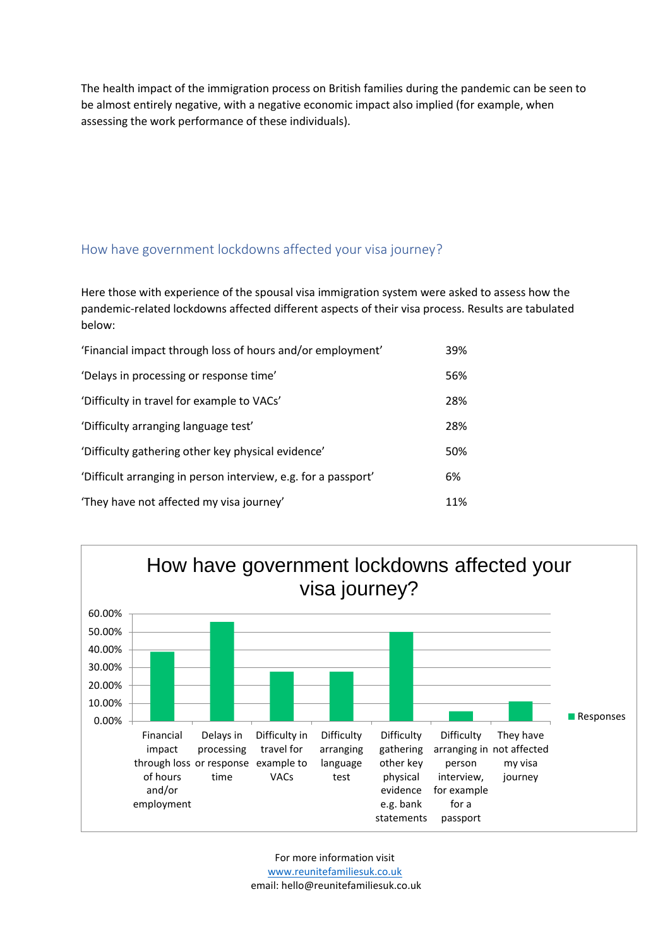The health impact of the immigration process on British families during the pandemic can be seen to be almost entirely negative, with a negative economic impact also implied (for example, when assessing the work performance of these individuals).

### <span id="page-3-0"></span>How have government lockdowns affected your visa journey?

Here those with experience of the spousal visa immigration system were asked to assess how the pandemic-related lockdowns affected different aspects of their visa process. Results are tabulated below:

| 'Financial impact through loss of hours and/or employment'     | 39% |
|----------------------------------------------------------------|-----|
| 'Delays in processing or response time'                        | 56% |
| 'Difficulty in travel for example to VACs'                     | 28% |
| 'Difficulty arranging language test'                           | 28% |
| 'Difficulty gathering other key physical evidence'             | 50% |
| 'Difficult arranging in person interview, e.g. for a passport' | 6%  |
| 'They have not affected my visa journey'                       | 11% |

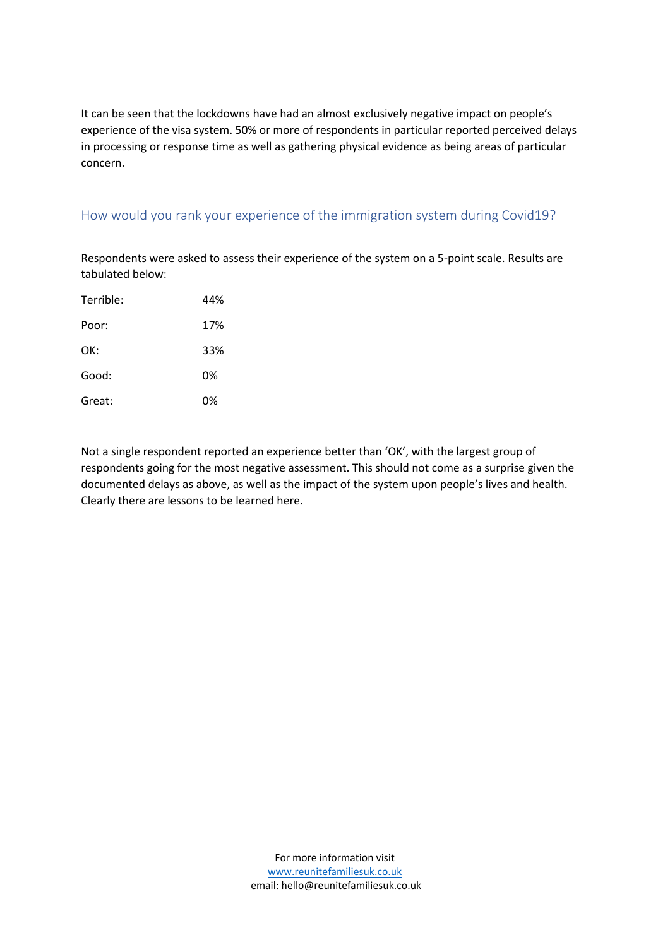It can be seen that the lockdowns have had an almost exclusively negative impact on people's experience of the visa system. 50% or more of respondents in particular reported perceived delays in processing or response time as well as gathering physical evidence as being areas of particular concern.

## <span id="page-4-0"></span>How would you rank your experience of the immigration system during Covid19?

Respondents were asked to assess their experience of the system on a 5-point scale. Results are tabulated below:

| Terrible: | 44% |
|-----------|-----|
| Poor:     | 17% |
| OK:       | 33% |
| Good:     | 0%  |
| Great:    | 0%  |

Not a single respondent reported an experience better than 'OK', with the largest group of respondents going for the most negative assessment. This should not come as a surprise given the documented delays as above, as well as the impact of the system upon people's lives and health. Clearly there are lessons to be learned here.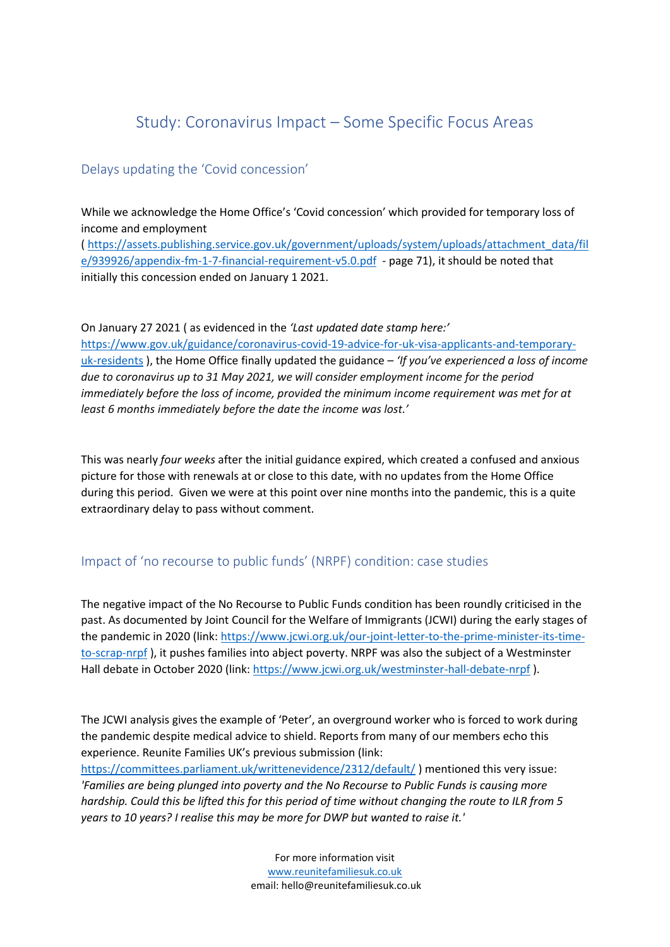# Study: Coronavirus Impact – Some Specific Focus Areas

### <span id="page-5-1"></span><span id="page-5-0"></span>Delays updating the 'Covid concession'

While we acknowledge the Home Office's 'Covid concession' which provided for temporary loss of income and employment

( [https://assets.publishing.service.gov.uk/government/uploads/system/uploads/attachment\\_data/fil](https://assets.publishing.service.gov.uk/government/uploads/system/uploads/attachment_data/file/939926/appendix-fm-1-7-financial-requirement-v5.0.pdf) [e/939926/appendix-fm-1-7-financial-requirement-v5.0.pdf](https://assets.publishing.service.gov.uk/government/uploads/system/uploads/attachment_data/file/939926/appendix-fm-1-7-financial-requirement-v5.0.pdf) - page 71), it should be noted that initially this concession ended on January 1 2021.

On January 27 2021 ( as evidenced in the *'Last updated date stamp here:'*  [https://www.gov.uk/guidance/coronavirus-covid-19-advice-for-uk-visa-applicants-and-temporary](https://www.gov.uk/guidance/coronavirus-covid-19-advice-for-uk-visa-applicants-and-temporary-uk-residents)[uk-residents](https://www.gov.uk/guidance/coronavirus-covid-19-advice-for-uk-visa-applicants-and-temporary-uk-residents) ), the Home Office finally updated the guidance – *'If you've experienced a loss of income due to coronavirus up to 31 May 2021, we will consider employment income for the period immediately before the loss of income, provided the minimum income requirement was met for at least 6 months immediately before the date the income was lost.'*

This was nearly *four weeks* after the initial guidance expired, which created a confused and anxious picture for those with renewals at or close to this date, with no updates from the Home Office during this period. Given we were at this point over nine months into the pandemic, this is a quite extraordinary delay to pass without comment.

### <span id="page-5-2"></span>Impact of 'no recourse to public funds' (NRPF) condition: case studies

The negative impact of the No Recourse to Public Funds condition has been roundly criticised in the past. As documented by Joint Council for the Welfare of Immigrants (JCWI) during the early stages of the pandemic in 2020 (link: [https://www.jcwi.org.uk/our-joint-letter-to-the-prime-minister-its-time](https://www.jcwi.org.uk/our-joint-letter-to-the-prime-minister-its-time-to-scrap-nrpf)[to-scrap-nrpf](https://www.jcwi.org.uk/our-joint-letter-to-the-prime-minister-its-time-to-scrap-nrpf) ), it pushes families into abject poverty. NRPF was also the subject of a Westminster Hall debate in October 2020 (link:<https://www.jcwi.org.uk/westminster-hall-debate-nrpf>).

The JCWI analysis gives the example of 'Peter', an overground worker who is forced to work during the pandemic despite medical advice to shield. Reports from many of our members echo this experience. Reunite Families UK's previous submission (link:

<https://committees.parliament.uk/writtenevidence/2312/default/> ) mentioned this very issue: *'Families are being plunged into poverty and the No Recourse to Public Funds is causing more hardship. Could this be lifted this for this period of time without changing the route to ILR from 5 years to 10 years? I realise this may be more for DWP but wanted to raise it.'*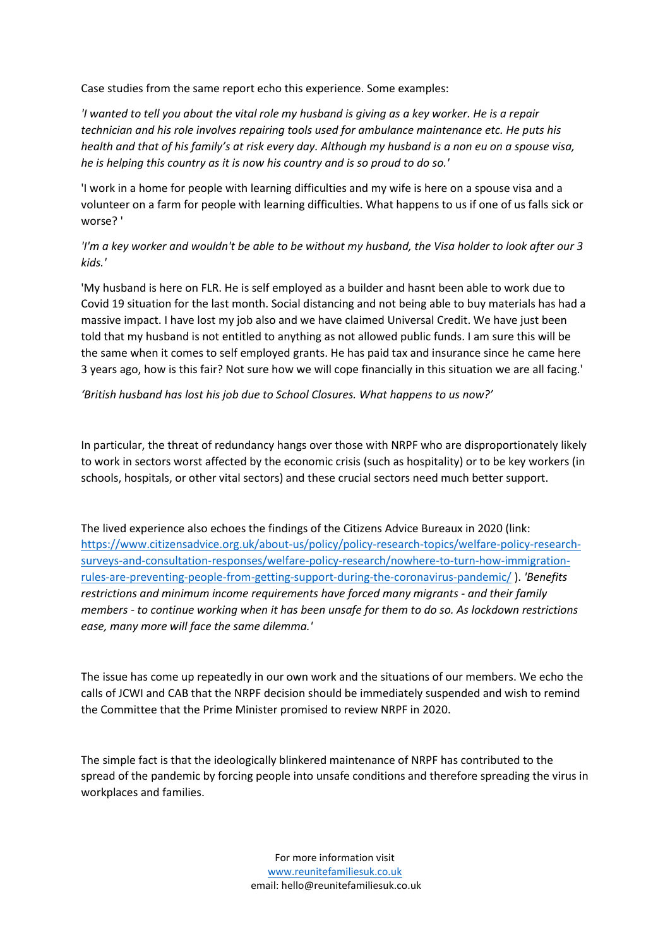Case studies from the same report echo this experience. Some examples:

*'I wanted to tell you about the vital role my husband is giving as a key worker. He is a repair technician and his role involves repairing tools used for ambulance maintenance etc. He puts his health and that of his family's at risk every day. Although my husband is a non eu on a spouse visa, he is helping this country as it is now his country and is so proud to do so.'*

'I work in a home for people with learning difficulties and my wife is here on a spouse visa and a volunteer on a farm for people with learning difficulties. What happens to us if one of us falls sick or worse? '

*'I'm a key worker and wouldn't be able to be without my husband, the Visa holder to look after our 3 kids.'*

'My husband is here on FLR. He is self employed as a builder and hasnt been able to work due to Covid 19 situation for the last month. Social distancing and not being able to buy materials has had a massive impact. I have lost my job also and we have claimed Universal Credit. We have just been told that my husband is not entitled to anything as not allowed public funds. I am sure this will be the same when it comes to self employed grants. He has paid tax and insurance since he came here 3 years ago, how is this fair? Not sure how we will cope financially in this situation we are all facing.'

*'British husband has lost his job due to School Closures. What happens to us now?'*

In particular, the threat of redundancy hangs over those with NRPF who are disproportionately likely to work in sectors worst affected by the economic crisis (such as hospitality) or to be key workers (in schools, hospitals, or other vital sectors) and these crucial sectors need much better support.

The lived experience also echoes the findings of the Citizens Advice Bureaux in 2020 (link: [https://www.citizensadvice.org.uk/about-us/policy/policy-research-topics/welfare-policy-research](https://www.citizensadvice.org.uk/about-us/policy/policy-research-topics/welfare-policy-research-surveys-and-consultation-responses/welfare-policy-research/nowhere-to-turn-how-immigration-rules-are-preventing-people-from-getting-support-during-the-coronavirus-pandemic/)[surveys-and-consultation-responses/welfare-policy-research/nowhere-to-turn-how-immigration](https://www.citizensadvice.org.uk/about-us/policy/policy-research-topics/welfare-policy-research-surveys-and-consultation-responses/welfare-policy-research/nowhere-to-turn-how-immigration-rules-are-preventing-people-from-getting-support-during-the-coronavirus-pandemic/)[rules-are-preventing-people-from-getting-support-during-the-coronavirus-pandemic/](https://www.citizensadvice.org.uk/about-us/policy/policy-research-topics/welfare-policy-research-surveys-and-consultation-responses/welfare-policy-research/nowhere-to-turn-how-immigration-rules-are-preventing-people-from-getting-support-during-the-coronavirus-pandemic/) ). *'Benefits restrictions and minimum income requirements have forced many migrants - and their family members - to continue working when it has been unsafe for them to do so. As lockdown restrictions ease, many more will face the same dilemma.'*

The issue has come up repeatedly in our own work and the situations of our members. We echo the calls of JCWI and CAB that the NRPF decision should be immediately suspended and wish to remind the Committee that the Prime Minister promised to review NRPF in 2020.

The simple fact is that the ideologically blinkered maintenance of NRPF has contributed to the spread of the pandemic by forcing people into unsafe conditions and therefore spreading the virus in workplaces and families.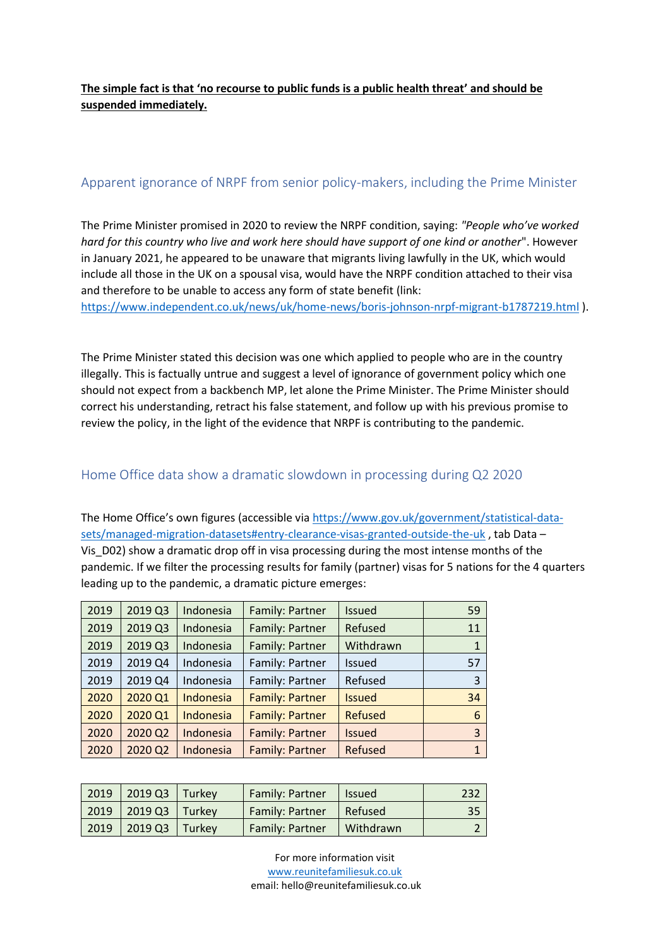**The simple fact is that 'no recourse to public funds is a public health threat' and should be suspended immediately.**

### <span id="page-7-0"></span>Apparent ignorance of NRPF from senior policy-makers, including the Prime Minister

The Prime Minister promised in 2020 to review the NRPF condition, saying: *"People who've worked hard for this country who live and work here should have support of one kind or another*". However in January 2021, he appeared to be unaware that migrants living lawfully in the UK, which would include all those in the UK on a spousal visa, would have the NRPF condition attached to their visa and therefore to be unable to access any form of state benefit (link:

<https://www.independent.co.uk/news/uk/home-news/boris-johnson-nrpf-migrant-b1787219.html> ).

The Prime Minister stated this decision was one which applied to people who are in the country illegally. This is factually untrue and suggest a level of ignorance of government policy which one should not expect from a backbench MP, let alone the Prime Minister. The Prime Minister should correct his understanding, retract his false statement, and follow up with his previous promise to review the policy, in the light of the evidence that NRPF is contributing to the pandemic.

#### <span id="page-7-1"></span>Home Office data show a dramatic slowdown in processing during Q2 2020

The Home Office's own figures (accessible via [https://www.gov.uk/government/statistical-data](https://www.gov.uk/government/statistical-data-sets/managed-migration-datasets#entry-clearance-visas-granted-outside-the-uk)[sets/managed-migration-datasets#entry-clearance-visas-granted-outside-the-uk](https://www.gov.uk/government/statistical-data-sets/managed-migration-datasets#entry-clearance-visas-granted-outside-the-uk), tab Data – Vis\_D02) show a dramatic drop off in visa processing during the most intense months of the pandemic. If we filter the processing results for family (partner) visas for 5 nations for the 4 quarters leading up to the pandemic, a dramatic picture emerges:

| 2019 | 2019 Q3 | Indonesia | Family: Partner        | <b>Issued</b> | 59 |
|------|---------|-----------|------------------------|---------------|----|
| 2019 | 2019 Q3 | Indonesia | Family: Partner        | Refused       | 11 |
| 2019 | 2019 Q3 | Indonesia | Family: Partner        | Withdrawn     |    |
| 2019 | 2019 Q4 | Indonesia | Family: Partner        | Issued        | 57 |
| 2019 | 2019 Q4 | Indonesia | Family: Partner        | Refused       | 3  |
| 2020 | 2020 Q1 | Indonesia | <b>Family: Partner</b> | <b>Issued</b> | 34 |
| 2020 | 2020 Q1 | Indonesia | <b>Family: Partner</b> | Refused       | 6  |
| 2020 | 2020 Q2 | Indonesia | Family: Partner        | <b>Issued</b> | 3  |
| 2020 | 2020 Q2 | Indonesia | <b>Family: Partner</b> | Refused       | 1  |

| 2019 | 2019 Q3      | Turkey | <b>Family: Partner</b> | <b>Issued</b> |    |
|------|--------------|--------|------------------------|---------------|----|
|      | 2019 2019 Q3 | Turkev | <b>Family: Partner</b> | Refused       | 35 |
| 2019 | 2019 Q3      | Turkev | <b>Family: Partner</b> | Withdrawn     |    |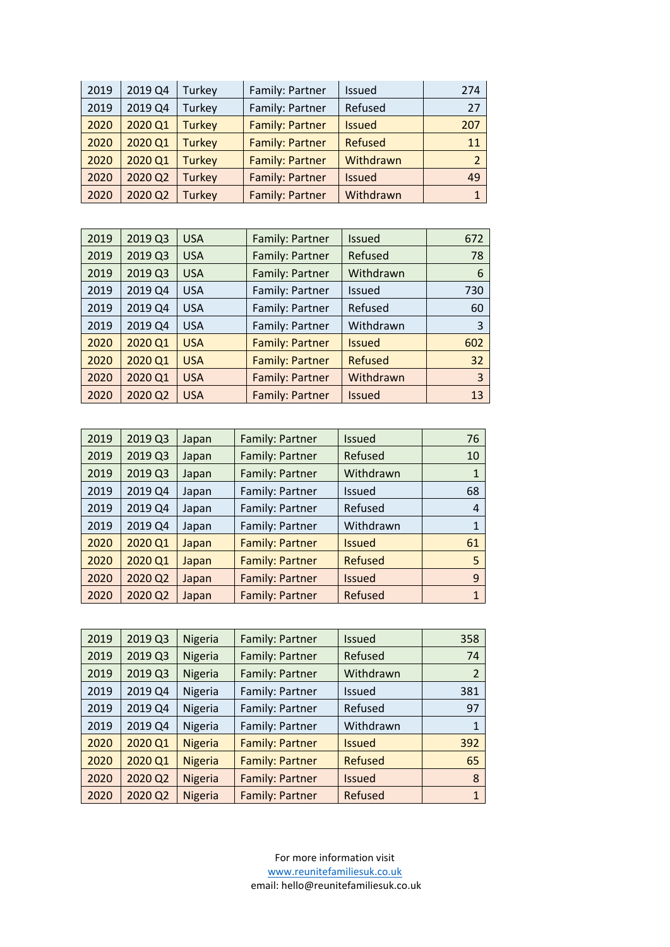| 2019 | 2019 Q4 | Turkey        | Family: Partner        | <b>Issued</b>  | 274 |
|------|---------|---------------|------------------------|----------------|-----|
| 2019 | 2019 Q4 | Turkey        | Family: Partner        | Refused        | 27  |
| 2020 | 2020 Q1 | <b>Turkey</b> | <b>Family: Partner</b> | <b>Issued</b>  | 207 |
| 2020 | 2020 Q1 | <b>Turkey</b> | <b>Family: Partner</b> | <b>Refused</b> | 11  |
| 2020 | 2020 Q1 | <b>Turkey</b> | <b>Family: Partner</b> | Withdrawn      |     |
| 2020 | 2020 Q2 | <b>Turkey</b> | Family: Partner        | <b>Issued</b>  | 49  |
| 2020 | 2020 Q2 | <b>Turkey</b> | Family: Partner        | Withdrawn      |     |

| 2019 | 2019 Q3 | <b>USA</b> | Family: Partner        | <b>Issued</b>  | 672 |
|------|---------|------------|------------------------|----------------|-----|
| 2019 | 2019 Q3 | <b>USA</b> | Family: Partner        | Refused        | 78  |
| 2019 | 2019 Q3 | <b>USA</b> | Family: Partner        | Withdrawn      | 6   |
| 2019 | 2019 Q4 | <b>USA</b> | Family: Partner        | <b>Issued</b>  | 730 |
| 2019 | 2019 Q4 | <b>USA</b> | Family: Partner        | Refused        | 60  |
| 2019 | 2019 Q4 | <b>USA</b> | Family: Partner        | Withdrawn      | 3   |
| 2020 | 2020 Q1 | <b>USA</b> | <b>Family: Partner</b> | <b>Issued</b>  | 602 |
| 2020 | 2020 Q1 | <b>USA</b> | <b>Family: Partner</b> | <b>Refused</b> | 32  |
| 2020 | 2020 Q1 | <b>USA</b> | <b>Family: Partner</b> | Withdrawn      | 3   |
| 2020 | 2020 Q2 | <b>USA</b> | Family: Partner        | <b>Issued</b>  | 13  |

| 2019 | 2019 Q3 | Japan | Family: Partner        | <b>Issued</b>  | 76 |
|------|---------|-------|------------------------|----------------|----|
| 2019 | 2019 Q3 | Japan | Family: Partner        | Refused        | 10 |
| 2019 | 2019 Q3 | Japan | Family: Partner        | Withdrawn      |    |
| 2019 | 2019 Q4 | Japan | Family: Partner        | <b>Issued</b>  | 68 |
| 2019 | 2019 Q4 | Japan | Family: Partner        | Refused        | 4  |
| 2019 | 2019 Q4 | Japan | Family: Partner        | Withdrawn      |    |
| 2020 | 2020 Q1 | Japan | <b>Family: Partner</b> | <b>Issued</b>  | 61 |
| 2020 | 2020 Q1 | Japan | <b>Family: Partner</b> | <b>Refused</b> | 5  |
| 2020 | 2020 Q2 | Japan | <b>Family: Partner</b> | <b>Issued</b>  | 9  |
| 2020 | 2020 Q2 | Japan | <b>Family: Partner</b> | Refused        |    |

| 2019 | 2019 Q3 | Nigeria        | Family: Partner        | Issued         | 358 |
|------|---------|----------------|------------------------|----------------|-----|
| 2019 | 2019 Q3 | Nigeria        | <b>Family: Partner</b> | Refused        | 74  |
| 2019 | 2019 Q3 | Nigeria        | Family: Partner        | Withdrawn      | 2   |
| 2019 | 2019 Q4 | Nigeria        | Family: Partner        | <b>Issued</b>  | 381 |
| 2019 | 2019 Q4 | Nigeria        | Family: Partner        | Refused        | 97  |
| 2019 | 2019 Q4 | Nigeria        | Family: Partner        | Withdrawn      |     |
| 2020 | 2020 Q1 | <b>Nigeria</b> | <b>Family: Partner</b> | <b>Issued</b>  | 392 |
| 2020 | 2020 Q1 | <b>Nigeria</b> | <b>Family: Partner</b> | <b>Refused</b> | 65  |
| 2020 | 2020 Q2 | <b>Nigeria</b> | <b>Family: Partner</b> | <b>Issued</b>  | 8   |
| 2020 | 2020 Q2 | Nigeria        | <b>Family: Partner</b> | Refused        | 1   |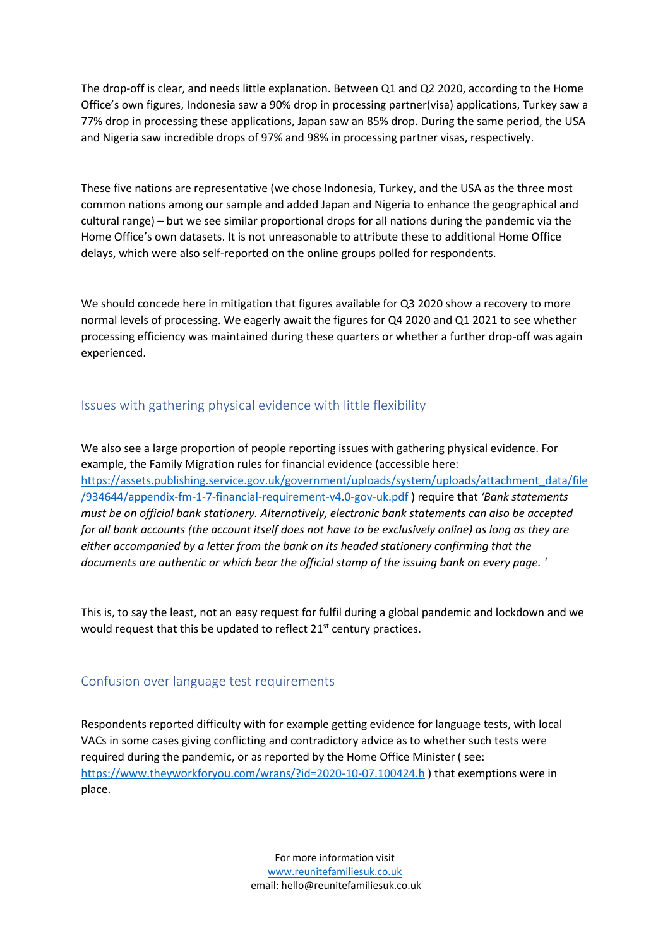The drop-off is clear, and needs little explanation. Between Q1 and Q2 2020, according to the Home Office's own figures, Indonesia saw a 90% drop in processing partner(visa) applications, Turkey saw a 77% drop in processing these applications, Japan saw an 85% drop. During the same period, the USA and Nigeria saw incredible drops of 97% and 98% in processing partner visas, respectively.

These five nations are representative (we chose Indonesia, Turkey, and the USA as the three most common nations among our sample and added Japan and Nigeria to enhance the geographical and cultural range) – but we see similar proportional drops for all nations during the pandemic via the Home Office's own datasets. It is not unreasonable to attribute these to additional Home Office delays, which were also self-reported on the online groups polled for respondents.

We should concede here in mitigation that figures available for Q3 2020 show a recovery to more normal levels of processing. We eagerly await the figures for Q4 2020 and Q1 2021 to see whether processing efficiency was maintained during these quarters or whether a further drop-off was again experienced.

### <span id="page-9-0"></span>Issues with gathering physical evidence with little flexibility

We also see a large proportion of people reporting issues with gathering physical evidence. For example, the Family Migration rules for financial evidence (accessible here: [https://assets.publishing.service.gov.uk/government/uploads/system/uploads/attachment\\_data/file](https://assets.publishing.service.gov.uk/government/uploads/system/uploads/attachment_data/file/934644/appendix-fm-1-7-financial-requirement-v4.0-gov-uk.pdf) [/934644/appendix-fm-1-7-financial-requirement-v4.0-gov-uk.pdf](https://assets.publishing.service.gov.uk/government/uploads/system/uploads/attachment_data/file/934644/appendix-fm-1-7-financial-requirement-v4.0-gov-uk.pdf) ) require that *'Bank statements must be on official bank stationery. Alternatively, electronic bank statements can also be accepted for all bank accounts (the account itself does not have to be exclusively online) as long as they are either accompanied by a letter from the bank on its headed stationery confirming that the documents are authentic or which bear the official stamp of the issuing bank on every page. '*

This is, to say the least, not an easy request for fulfil during a global pandemic and lockdown and we would request that this be updated to reflect  $21<sup>st</sup>$  century practices.

### <span id="page-9-1"></span>Confusion over language test requirements

Respondents reported difficulty with for example getting evidence for language tests, with local VACs in some cases giving conflicting and contradictory advice as to whether such tests were required during the pandemic, or as reported by the Home Office Minister ( see: <https://www.theyworkforyou.com/wrans/?id=2020-10-07.100424.h> ) that exemptions were in place.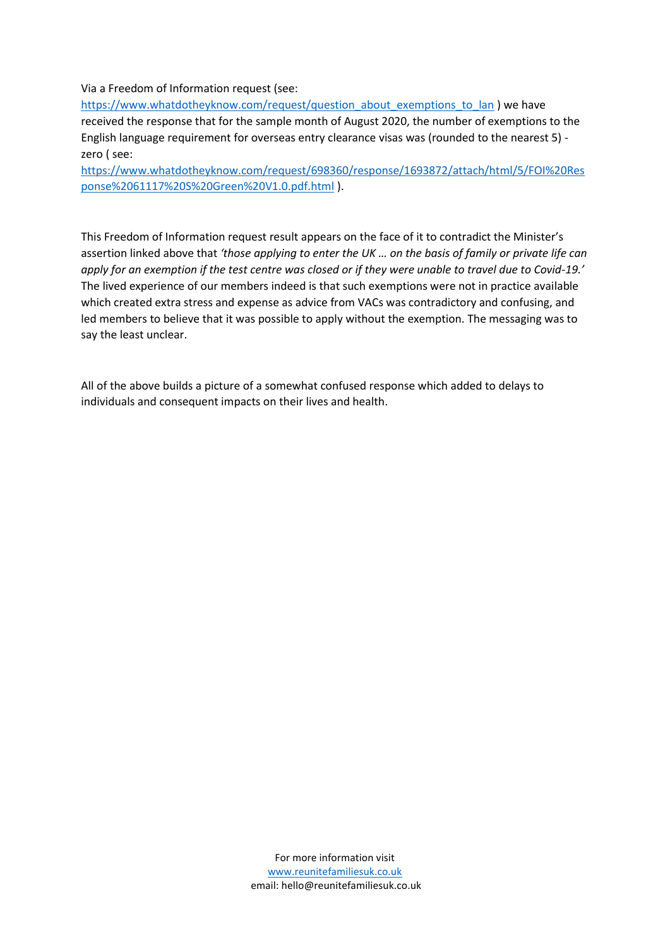Via a Freedom of Information request (see:

[https://www.whatdotheyknow.com/request/question\\_about\\_exemptions\\_to\\_lan](https://www.whatdotheyknow.com/request/question_about_exemptions_to_lan) ) we have received the response that for the sample month of August 2020, the number of exemptions to the English language requirement for overseas entry clearance visas was (rounded to the nearest 5) zero ( see:

[https://www.whatdotheyknow.com/request/698360/response/1693872/attach/html/5/FOI%20Res](https://www.whatdotheyknow.com/request/698360/response/1693872/attach/html/5/FOI%20Response%2061117%20S%20Green%20V1.0.pdf.html) [ponse%2061117%20S%20Green%20V1.0.pdf.html](https://www.whatdotheyknow.com/request/698360/response/1693872/attach/html/5/FOI%20Response%2061117%20S%20Green%20V1.0.pdf.html) ).

This Freedom of Information request result appears on the face of it to contradict the Minister's assertion linked above that *'those applying to enter the UK … on the basis of family or private life can apply for an exemption if the test centre was closed or if they were unable to travel due to Covid-19.'* The lived experience of our members indeed is that such exemptions were not in practice available which created extra stress and expense as advice from VACs was contradictory and confusing, and led members to believe that it was possible to apply without the exemption. The messaging was to say the least unclear.

All of the above builds a picture of a somewhat confused response which added to delays to individuals and consequent impacts on their lives and health.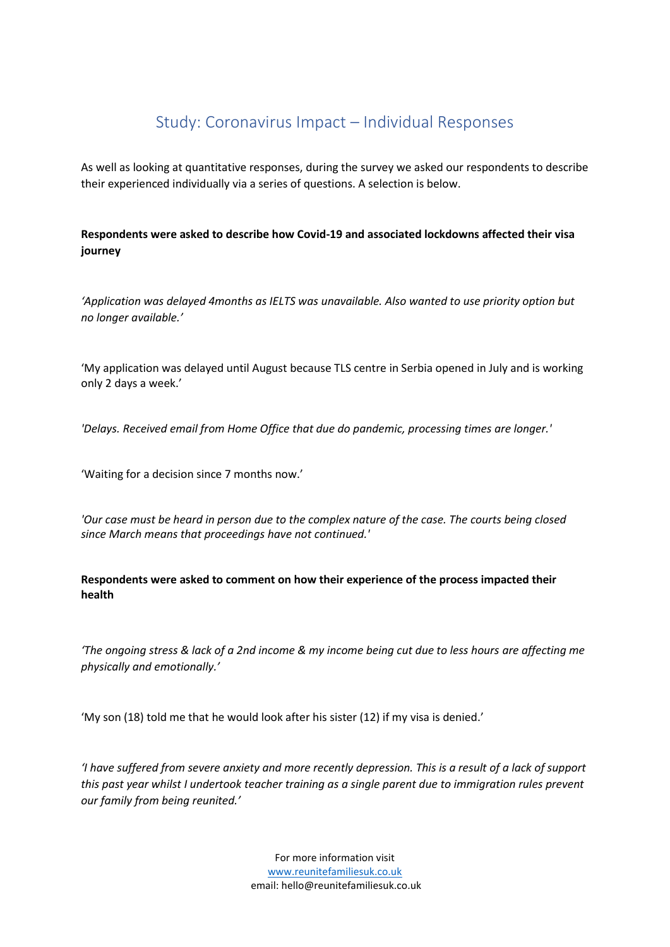# Study: Coronavirus Impact – Individual Responses

<span id="page-11-0"></span>As well as looking at quantitative responses, during the survey we asked our respondents to describe their experienced individually via a series of questions. A selection is below.

**Respondents were asked to describe how Covid-19 and associated lockdowns affected their visa journey**

*'Application was delayed 4months as IELTS was unavailable. Also wanted to use priority option but no longer available.'*

'My application was delayed until August because TLS centre in Serbia opened in July and is working only 2 days a week.'

*'Delays. Received email from Home Office that due do pandemic, processing times are longer.'*

'Waiting for a decision since 7 months now.'

*'Our case must be heard in person due to the complex nature of the case. The courts being closed since March means that proceedings have not continued.'*

**Respondents were asked to comment on how their experience of the process impacted their health**

*'The ongoing stress & lack of a 2nd income & my income being cut due to less hours are affecting me physically and emotionally.'*

'My son (18) told me that he would look after his sister (12) if my visa is denied.'

*'I have suffered from severe anxiety and more recently depression. This is a result of a lack of support this past year whilst I undertook teacher training as a single parent due to immigration rules prevent our family from being reunited.'*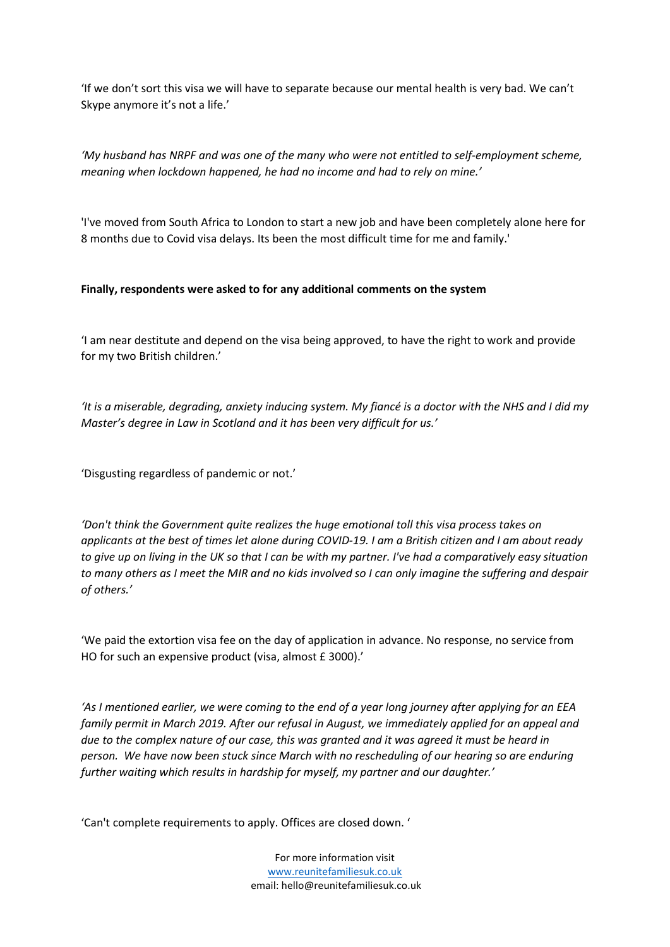'If we don't sort this visa we will have to separate because our mental health is very bad. We can't Skype anymore it's not a life.'

*'My husband has NRPF and was one of the many who were not entitled to self-employment scheme, meaning when lockdown happened, he had no income and had to rely on mine.'*

'I've moved from South Africa to London to start a new job and have been completely alone here for 8 months due to Covid visa delays. Its been the most difficult time for me and family.'

#### **Finally, respondents were asked to for any additional comments on the system**

'I am near destitute and depend on the visa being approved, to have the right to work and provide for my two British children.'

*'It is a miserable, degrading, anxiety inducing system. My fiancé is a doctor with the NHS and I did my Master's degree in Law in Scotland and it has been very difficult for us.'*

'Disgusting regardless of pandemic or not.'

*'Don't think the Government quite realizes the huge emotional toll this visa process takes on applicants at the best of times let alone during COVID-19. I am a British citizen and I am about ready to give up on living in the UK so that I can be with my partner. I've had a comparatively easy situation to many others as I meet the MIR and no kids involved so I can only imagine the suffering and despair of others.'*

'We paid the extortion visa fee on the day of application in advance. No response, no service from HO for such an expensive product (visa, almost £ 3000).'

*'As I mentioned earlier, we were coming to the end of a year long journey after applying for an EEA family permit in March 2019. After our refusal in August, we immediately applied for an appeal and due to the complex nature of our case, this was granted and it was agreed it must be heard in person. We have now been stuck since March with no rescheduling of our hearing so are enduring further waiting which results in hardship for myself, my partner and our daughter.'*

'Can't complete requirements to apply. Offices are closed down. '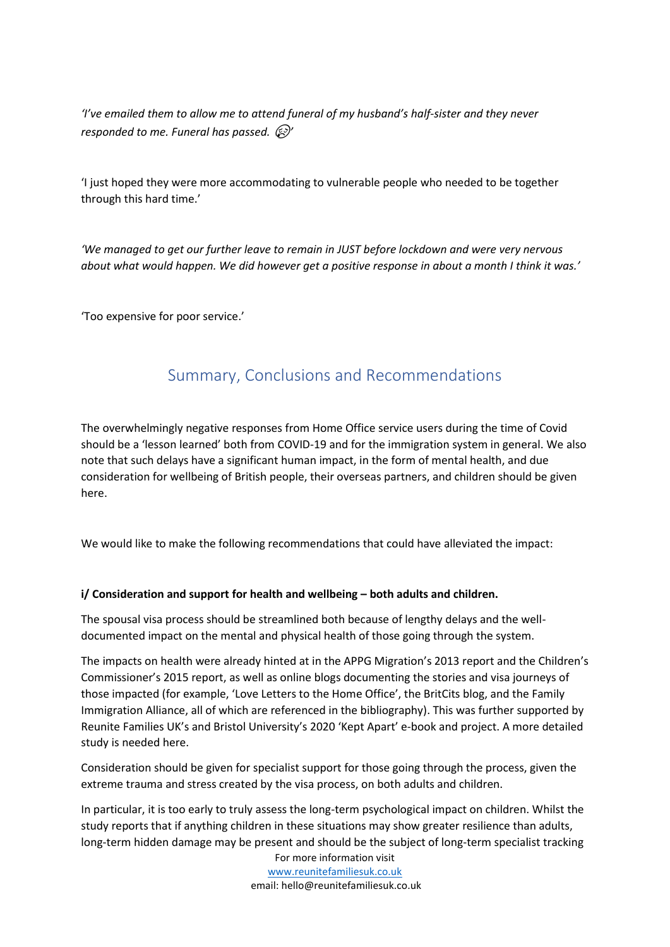*'I've emailed them to allow me to attend funeral of my husband's half-sister and they never responded to me. Funeral has passed.'*

'I just hoped they were more accommodating to vulnerable people who needed to be together through this hard time.'

*'We managed to get our further leave to remain in JUST before lockdown and were very nervous about what would happen. We did however get a positive response in about a month I think it was.'*

<span id="page-13-0"></span>'Too expensive for poor service.'

# Summary, Conclusions and Recommendations

The overwhelmingly negative responses from Home Office service users during the time of Covid should be a 'lesson learned' both from COVID-19 and for the immigration system in general. We also note that such delays have a significant human impact, in the form of mental health, and due consideration for wellbeing of British people, their overseas partners, and children should be given here.

We would like to make the following recommendations that could have alleviated the impact:

#### **i/ Consideration and support for health and wellbeing – both adults and children.**

The spousal visa process should be streamlined both because of lengthy delays and the welldocumented impact on the mental and physical health of those going through the system.

The impacts on health were already hinted at in the APPG Migration's 2013 report and the Children's Commissioner's 2015 report, as well as online blogs documenting the stories and visa journeys of those impacted (for example, 'Love Letters to the Home Office', the BritCits blog, and the Family Immigration Alliance, all of which are referenced in the bibliography). This was further supported by Reunite Families UK's and Bristol University's 2020 'Kept Apart' e-book and project. A more detailed study is needed here.

Consideration should be given for specialist support for those going through the process, given the extreme trauma and stress created by the visa process, on both adults and children.

In particular, it is too early to truly assess the long-term psychological impact on children. Whilst the study reports that if anything children in these situations may show greater resilience than adults, long-term hidden damage may be present and should be the subject of long-term specialist tracking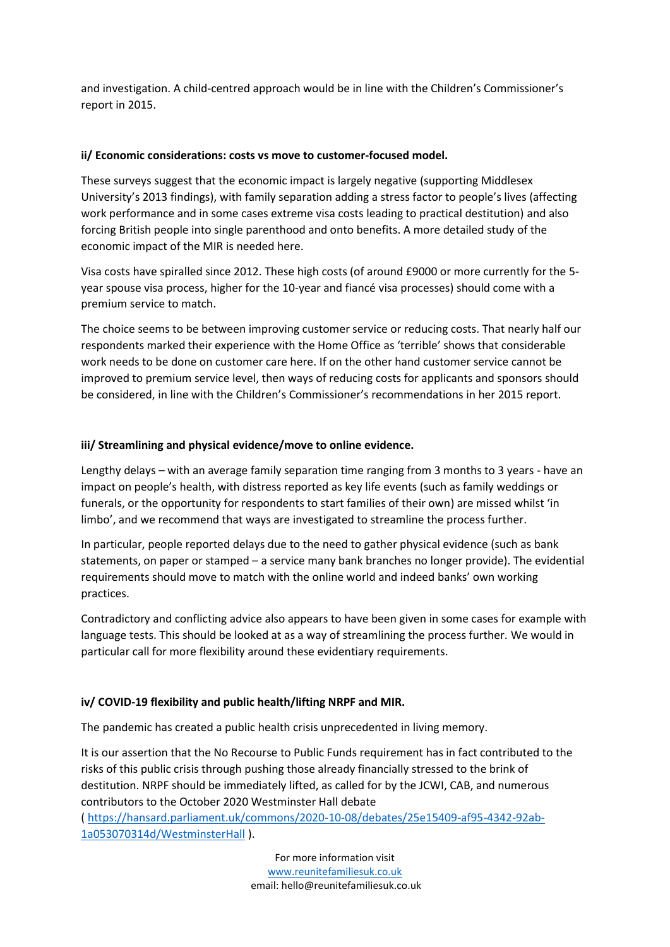and investigation. A child-centred approach would be in line with the Children's Commissioner's report in 2015.

#### **ii/ Economic considerations: costs vs move to customer-focused model.**

These surveys suggest that the economic impact is largely negative (supporting Middlesex University's 2013 findings), with family separation adding a stress factor to people's lives (affecting work performance and in some cases extreme visa costs leading to practical destitution) and also forcing British people into single parenthood and onto benefits. A more detailed study of the economic impact of the MIR is needed here.

Visa costs have spiralled since 2012. These high costs (of around £9000 or more currently for the 5 year spouse visa process, higher for the 10-year and fiancé visa processes) should come with a premium service to match.

The choice seems to be between improving customer service or reducing costs. That nearly half our respondents marked their experience with the Home Office as 'terrible' shows that considerable work needs to be done on customer care here. If on the other hand customer service cannot be improved to premium service level, then ways of reducing costs for applicants and sponsors should be considered, in line with the Children's Commissioner's recommendations in her 2015 report.

#### **iii/ Streamlining and physical evidence/move to online evidence.**

Lengthy delays – with an average family separation time ranging from 3 months to 3 years - have an impact on people's health, with distress reported as key life events (such as family weddings or funerals, or the opportunity for respondents to start families of their own) are missed whilst 'in limbo', and we recommend that ways are investigated to streamline the process further.

In particular, people reported delays due to the need to gather physical evidence (such as bank statements, on paper or stamped – a service many bank branches no longer provide). The evidential requirements should move to match with the online world and indeed banks' own working practices.

Contradictory and conflicting advice also appears to have been given in some cases for example with language tests. This should be looked at as a way of streamlining the process further. We would in particular call for more flexibility around these evidentiary requirements.

#### **iv/ COVID-19 flexibility and public health/lifting NRPF and MIR.**

The pandemic has created a public health crisis unprecedented in living memory.

It is our assertion that the No Recourse to Public Funds requirement has in fact contributed to the risks of this public crisis through pushing those already financially stressed to the brink of destitution. NRPF should be immediately lifted, as called for by the JCWI, CAB, and numerous contributors to the October 2020 Westminster Hall debate

( [https://hansard.parliament.uk/commons/2020-10-08/debates/25e15409-af95-4342-92ab-](https://hansard.parliament.uk/commons/2020-10-08/debates/25e15409-af95-4342-92ab-1a053070314d/WestminsterHall)[1a053070314d/WestminsterHall](https://hansard.parliament.uk/commons/2020-10-08/debates/25e15409-af95-4342-92ab-1a053070314d/WestminsterHall) ).